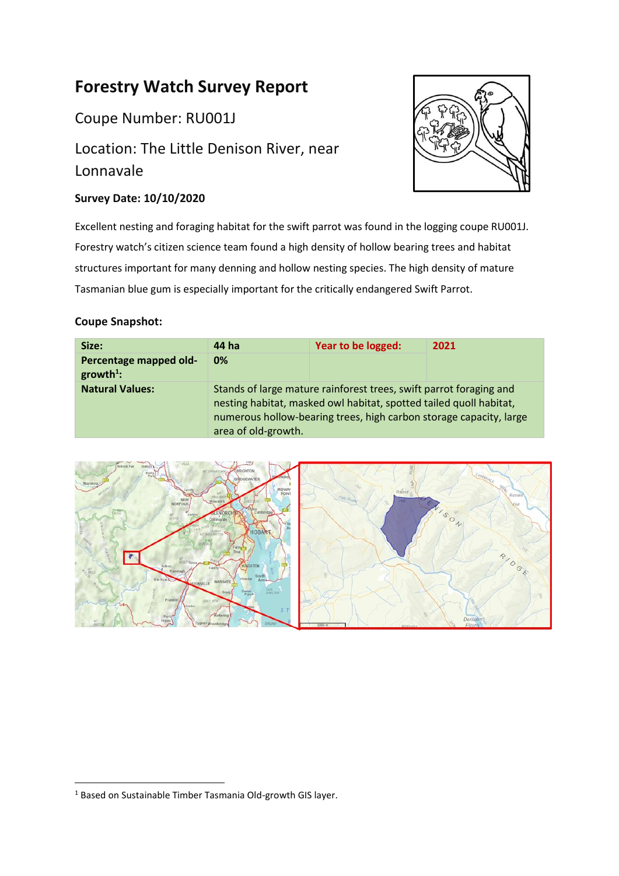# **Forestry Watch Survey Report**

Coupe Number: RU001J

# Location: The Little Denison River, near Lonnavale

## **Survey Date: 10/10/2020**



Excellent nesting and foraging habitat for the swift parrot was found in the logging coupe RU001J. Forestry watch's citizen science team found a high density of hollow bearing trees and habitat structures important for many denning and hollow nesting species. The high density of mature Tasmanian blue gum is especially important for the critically endangered Swift Parrot.

### **Coupe Snapshot:**

| Size:                                 | 44 ha                                                                                                                                                                                                                                 | Year to be logged: | 2021 |  |  |
|---------------------------------------|---------------------------------------------------------------------------------------------------------------------------------------------------------------------------------------------------------------------------------------|--------------------|------|--|--|
| Percentage mapped old-<br>$growth1$ : | 0%                                                                                                                                                                                                                                    |                    |      |  |  |
| <b>Natural Values:</b>                | Stands of large mature rainforest trees, swift parrot foraging and<br>nesting habitat, masked owl habitat, spotted tailed quoll habitat,<br>numerous hollow-bearing trees, high carbon storage capacity, large<br>area of old-growth. |                    |      |  |  |



<sup>&</sup>lt;sup>1</sup> Based on Sustainable Timber Tasmania Old-growth GIS layer.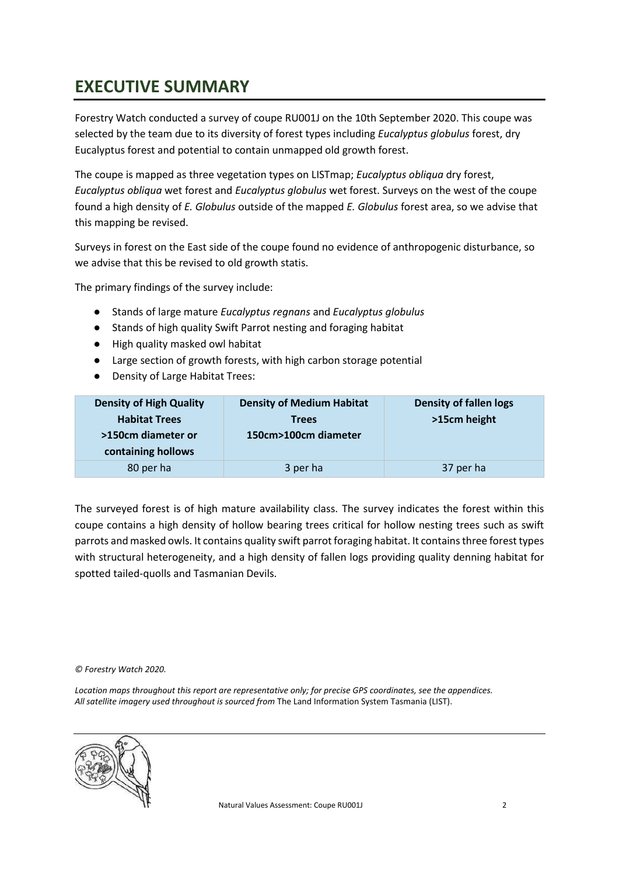# <span id="page-1-0"></span>**EXECUTIVE SUMMARY**

Forestry Watch conducted a survey of coupe RU001J on the 10th September 2020. This coupe was selected by the team due to its diversity of forest types including *Eucalyptus globulus* forest, dry Eucalyptus forest and potential to contain unmapped old growth forest.

The coupe is mapped as three vegetation types on LISTmap; *Eucalyptus obliqua* dry forest, *Eucalyptus obliqua* wet forest and *Eucalyptus globulus* wet forest. Surveys on the west of the coupe found a high density of *E. Globulus* outside of the mapped *E. Globulus* forest area, so we advise that this mapping be revised.

Surveys in forest on the East side of the coupe found no evidence of anthropogenic disturbance, so we advise that this be revised to old growth statis.

The primary findings of the survey include:

- Stands of large mature *Eucalyptus regnans* and *Eucalyptus globulus*
- Stands of high quality Swift Parrot nesting and foraging habitat
- High quality masked owl habitat
- Large section of growth forests, with high carbon storage potential
- Density of Large Habitat Trees:

| <b>Density of High Quality</b> | <b>Density of Medium Habitat</b> | <b>Density of fallen logs</b> |
|--------------------------------|----------------------------------|-------------------------------|
| <b>Habitat Trees</b>           | <b>Trees</b>                     | >15cm height                  |
| >150cm diameter or             | 150cm>100cm diameter             |                               |
| containing hollows             |                                  |                               |
| 80 per ha                      | 3 per ha                         | 37 per ha                     |

The surveyed forest is of high mature availability class. The survey indicates the forest within this coupe contains a high density of hollow bearing trees critical for hollow nesting trees such as swift parrots and masked owls. It contains quality swift parrot foraging habitat. It contains three forest types with structural heterogeneity, and a high density of fallen logs providing quality denning habitat for spotted tailed-quolls and Tasmanian Devils.

*© Forestry Watch 2020.*

*Location maps throughout this report are representative only; for precise GPS coordinates, see the appendices. All satellite imagery used throughout is sourced from* The Land Information System Tasmania (LIST).

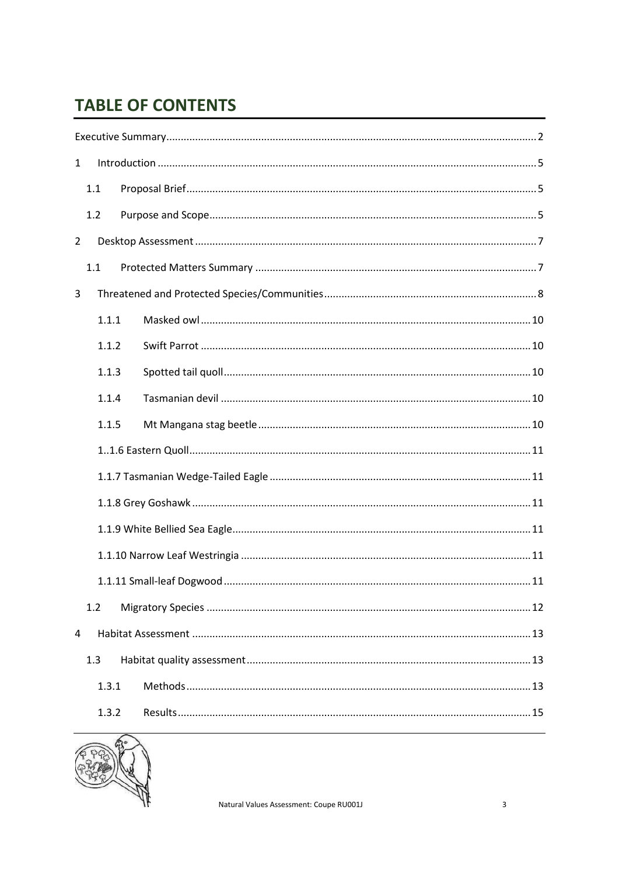# **TABLE OF CONTENTS**

| $\mathbf{1}$   |       |  |  |  |
|----------------|-------|--|--|--|
|                | 1.1   |  |  |  |
|                | 1.2   |  |  |  |
| $\overline{2}$ |       |  |  |  |
|                | 1.1   |  |  |  |
| 3              |       |  |  |  |
|                | 1.1.1 |  |  |  |
|                | 1.1.2 |  |  |  |
|                | 1.1.3 |  |  |  |
|                | 1.1.4 |  |  |  |
|                | 1.1.5 |  |  |  |
|                |       |  |  |  |
|                |       |  |  |  |
|                |       |  |  |  |
|                |       |  |  |  |
|                |       |  |  |  |
|                |       |  |  |  |
|                | 1.2   |  |  |  |
| 4              |       |  |  |  |
|                | 1.3   |  |  |  |
|                | 1.3.1 |  |  |  |
|                | 1.3.2 |  |  |  |

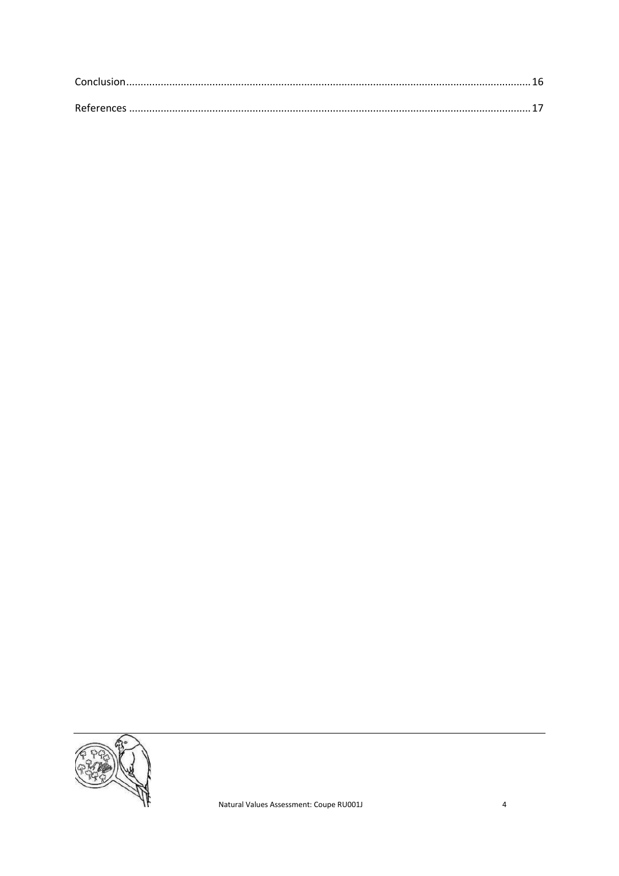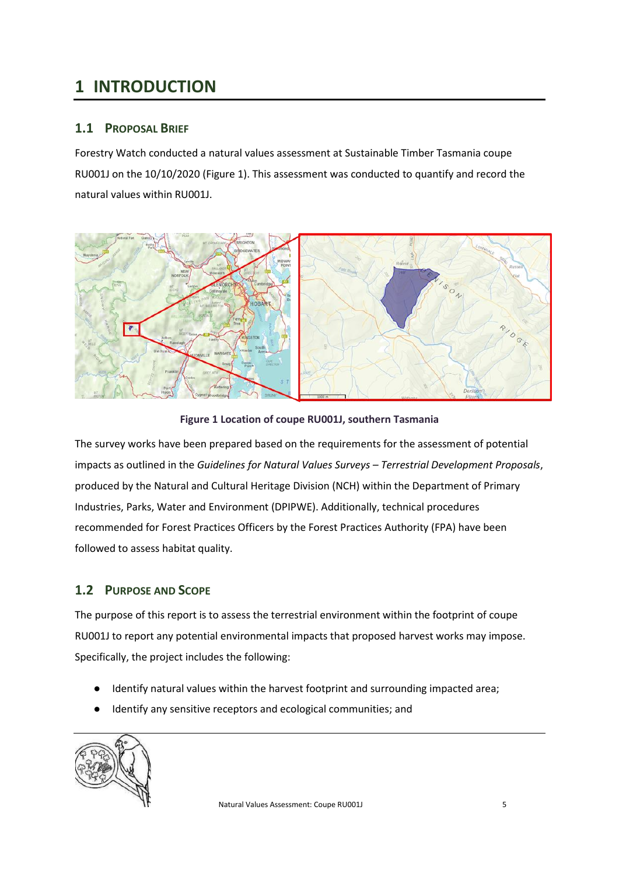# <span id="page-4-0"></span>**1 INTRODUCTION**

### <span id="page-4-1"></span>**1.1 PROPOSAL BRIEF**

Forestry Watch conducted a natural values assessment at Sustainable Timber Tasmania coupe RU001J on the 10/10/2020 [\(Figure 1\)](#page-4-3). This assessment was conducted to quantify and record the natural values within RU001J.



#### **Figure 1 Location of coupe RU001J, southern Tasmania**

<span id="page-4-3"></span>The survey works have been prepared based on the requirements for the assessment of potential impacts as outlined in the *Guidelines for Natural Values Surveys – Terrestrial Development Proposals*, produced by the Natural and Cultural Heritage Division (NCH) within the Department of Primary Industries, Parks, Water and Environment (DPIPWE). Additionally, technical procedures recommended for Forest Practices Officers by the Forest Practices Authority (FPA) have been followed to assess habitat quality.

### <span id="page-4-2"></span>**1.2 PURPOSE AND SCOPE**

The purpose of this report is to assess the terrestrial environment within the footprint of coupe RU001J to report any potential environmental impacts that proposed harvest works may impose. Specifically, the project includes the following:

- Identify natural values within the harvest footprint and surrounding impacted area;
- Identify any sensitive receptors and ecological communities; and

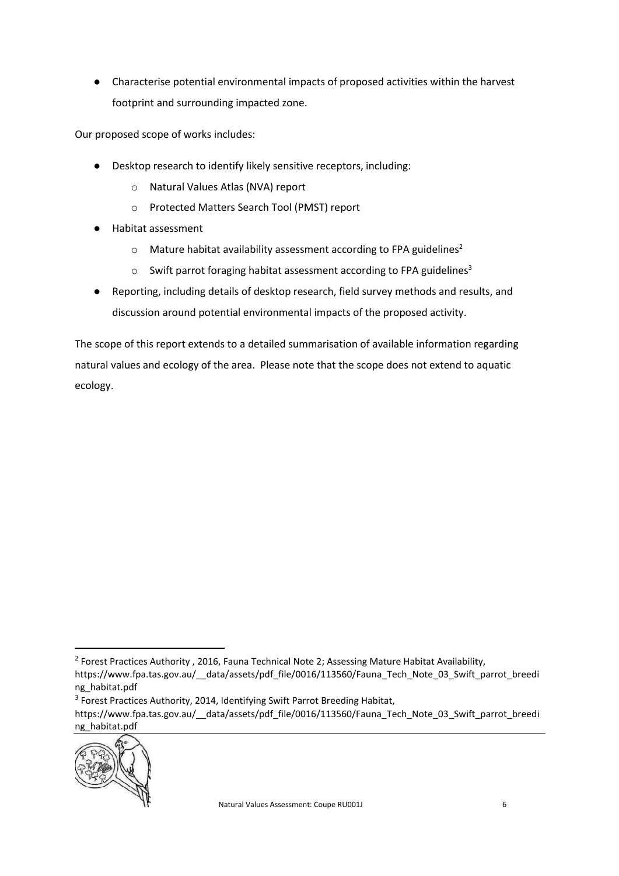● Characterise potential environmental impacts of proposed activities within the harvest footprint and surrounding impacted zone.

Our proposed scope of works includes:

- Desktop research to identify likely sensitive receptors, including:
	- o Natural Values Atlas (NVA) report
	- o Protected Matters Search Tool (PMST) report
- Habitat assessment
	- $\circ$  Mature habitat availability assessment according to FPA guidelines<sup>2</sup>
	- $\circ$  Swift parrot foraging habitat assessment according to FPA guidelines<sup>3</sup>
- Reporting, including details of desktop research, field survey methods and results, and discussion around potential environmental impacts of the proposed activity.

The scope of this report extends to a detailed summarisation of available information regarding natural values and ecology of the area. Please note that the scope does not extend to aquatic ecology.

https://www.fpa.tas.gov.au/ data/assets/pdf file/0016/113560/Fauna\_Tech\_Note\_03\_Swift\_parrot\_breedi ng\_habitat.pdf



<sup>&</sup>lt;sup>2</sup> Forest Practices Authority, 2016, Fauna Technical Note 2; Assessing Mature Habitat Availability,

https://www.fpa.tas.gov.au/ data/assets/pdf file/0016/113560/Fauna Tech Note 03 Swift parrot breedi ng\_habitat.pdf

<sup>&</sup>lt;sup>3</sup> Forest Practices Authority, 2014, Identifying Swift Parrot Breeding Habitat,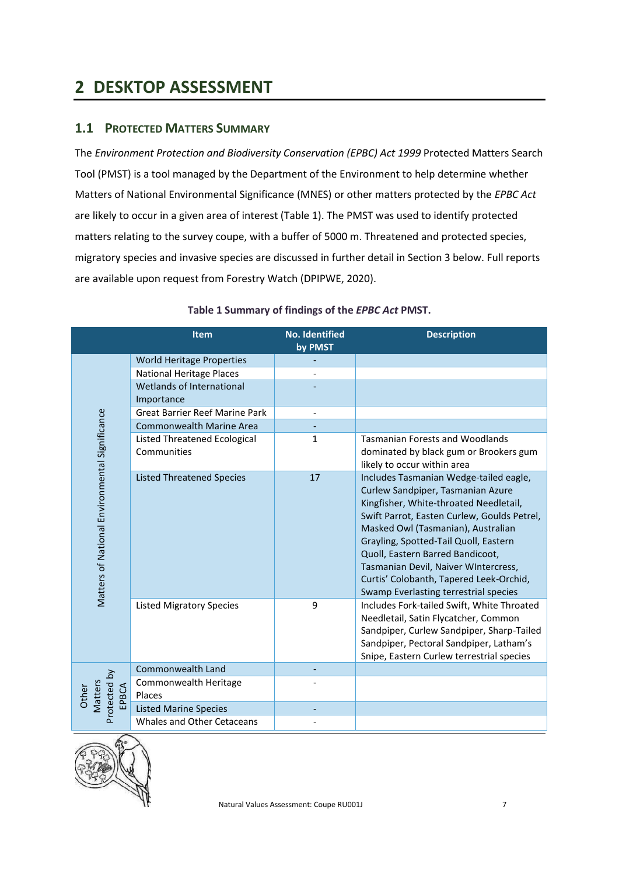# <span id="page-6-0"></span>**2 DESKTOP ASSESSMENT**

### <span id="page-6-1"></span>**1.1 PROTECTED MATTERS SUMMARY**

The *Environment Protection and Biodiversity Conservation (EPBC) Act 1999* Protected Matters Search Tool (PMST) is a tool managed by the Department of the Environment to help determine whether Matters of National Environmental Significance (MNES) or other matters protected by the *EPBC Act*  are likely to occur in a given area of interest (Table 1). The PMST was used to identify protected matters relating to the survey coupe, with a buffer of 5000 m. Threatened and protected species, migratory species and invasive species are discussed in further detail in Section 3 below. Full reports are available upon request from Forestry Watch (DPIPWE, 2020).

|                                                | <b>Item</b>                           | <b>No. Identified</b>    | <b>Description</b>                          |
|------------------------------------------------|---------------------------------------|--------------------------|---------------------------------------------|
|                                                |                                       | by PMST                  |                                             |
|                                                | <b>World Heritage Properties</b>      |                          |                                             |
|                                                | <b>National Heritage Places</b>       |                          |                                             |
|                                                | Wetlands of International             |                          |                                             |
|                                                | Importance                            |                          |                                             |
|                                                | <b>Great Barrier Reef Marine Park</b> | $\overline{\phantom{0}}$ |                                             |
| Matters of National Environmental Significance | <b>Commonwealth Marine Area</b>       |                          |                                             |
|                                                | <b>Listed Threatened Ecological</b>   | $\mathbf{1}$             | <b>Tasmanian Forests and Woodlands</b>      |
|                                                | Communities                           |                          | dominated by black gum or Brookers gum      |
|                                                |                                       |                          | likely to occur within area                 |
|                                                | <b>Listed Threatened Species</b>      | 17                       | Includes Tasmanian Wedge-tailed eagle,      |
|                                                |                                       |                          | Curlew Sandpiper, Tasmanian Azure           |
|                                                |                                       |                          | Kingfisher, White-throated Needletail,      |
|                                                |                                       |                          | Swift Parrot, Easten Curlew, Goulds Petrel, |
|                                                |                                       |                          | Masked Owl (Tasmanian), Australian          |
|                                                |                                       |                          | Grayling, Spotted-Tail Quoll, Eastern       |
|                                                |                                       |                          | Quoll, Eastern Barred Bandicoot,            |
|                                                |                                       |                          | Tasmanian Devil, Naiver WIntercress,        |
|                                                |                                       |                          | Curtis' Colobanth, Tapered Leek-Orchid,     |
|                                                |                                       |                          | Swamp Everlasting terrestrial species       |
|                                                | <b>Listed Migratory Species</b>       | 9                        | Includes Fork-tailed Swift, White Throated  |
|                                                |                                       |                          | Needletail, Satin Flycatcher, Common        |
|                                                |                                       |                          | Sandpiper, Curlew Sandpiper, Sharp-Tailed   |
|                                                |                                       |                          | Sandpiper, Pectoral Sandpiper, Latham's     |
|                                                |                                       |                          | Snipe, Eastern Curlew terrestrial species   |
|                                                | Commonwealth Land                     |                          |                                             |
|                                                | Commonwealth Heritage                 |                          |                                             |
| Matters<br>EPBCA<br>Other                      | Places                                |                          |                                             |
| Protected by                                   | <b>Listed Marine Species</b>          |                          |                                             |
|                                                | Whales and Other Cetaceans            |                          |                                             |

### **Table 1 Summary of findings of the** *EPBC Act* **PMST.**

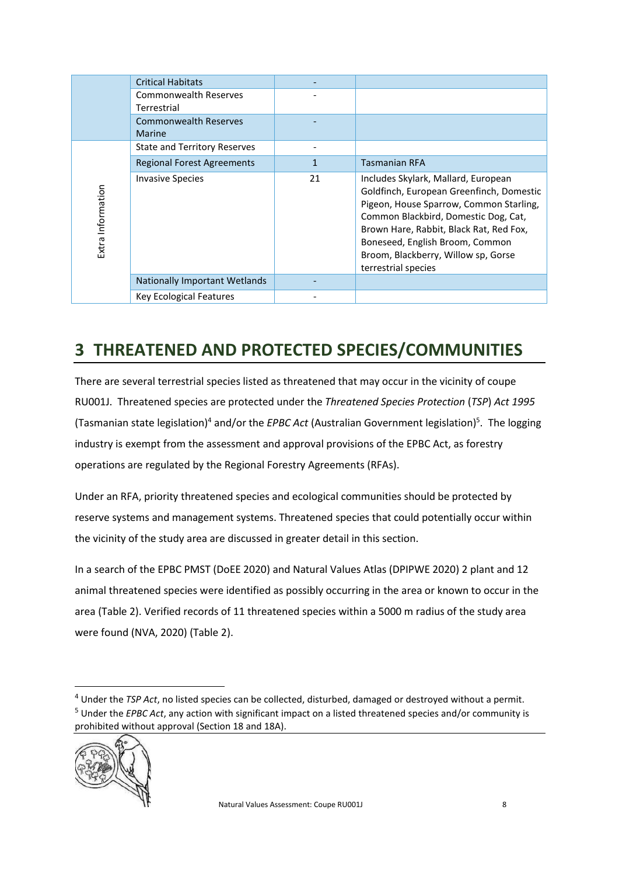|                   | <b>Critical Habitats</b>                    |    |                                                                                                                                                                                                                                                                                                                |
|-------------------|---------------------------------------------|----|----------------------------------------------------------------------------------------------------------------------------------------------------------------------------------------------------------------------------------------------------------------------------------------------------------------|
|                   | <b>Commonwealth Reserves</b><br>Terrestrial |    |                                                                                                                                                                                                                                                                                                                |
|                   | <b>Commonwealth Reserves</b><br>Marine      |    |                                                                                                                                                                                                                                                                                                                |
|                   | <b>State and Territory Reserves</b>         |    |                                                                                                                                                                                                                                                                                                                |
|                   | <b>Regional Forest Agreements</b>           | 1  | <b>Tasmanian RFA</b>                                                                                                                                                                                                                                                                                           |
| Extra Information | <b>Invasive Species</b>                     | 21 | Includes Skylark, Mallard, European<br>Goldfinch, European Greenfinch, Domestic<br>Pigeon, House Sparrow, Common Starling,<br>Common Blackbird, Domestic Dog, Cat,<br>Brown Hare, Rabbit, Black Rat, Red Fox,<br>Boneseed, English Broom, Common<br>Broom, Blackberry, Willow sp, Gorse<br>terrestrial species |
|                   | <b>Nationally Important Wetlands</b>        |    |                                                                                                                                                                                                                                                                                                                |
|                   | <b>Key Ecological Features</b>              |    |                                                                                                                                                                                                                                                                                                                |

# <span id="page-7-0"></span>**3 THREATENED AND PROTECTED SPECIES/COMMUNITIES**

There are several terrestrial species listed as threatened that may occur in the vicinity of coupe RU001J. Threatened species are protected under the *Threatened Species Protection* (*TSP*) *Act 1995* (Tasmanian state legislation)<sup>4</sup> and/or the *EPBC Act* (Australian Government legislation)<sup>5</sup>. The logging industry is exempt from the assessment and approval provisions of the EPBC Act, as forestry operations are regulated by the Regional Forestry Agreements (RFAs).

Under an RFA, priority threatened species and ecological communities should be protected by reserve systems and management systems. Threatened species that could potentially occur within the vicinity of the study area are discussed in greater detail in this section.

In a search of the EPBC PMST (DoEE 2020) and Natural Values Atlas (DPIPWE 2020) 2 plant and 12 animal threatened species were identified as possibly occurring in the area or known to occur in the area (Table 2). Verified records of 11 threatened species within a 5000 m radius of the study area were found (NVA, 2020) (Table 2).

<sup>4</sup> Under the *TSP Act*, no listed species can be collected, disturbed, damaged or destroyed without a permit. <sup>5</sup> Under the *EPBC Act*, any action with significant impact on a listed threatened species and/or community is prohibited without approval (Section 18 and 18A).

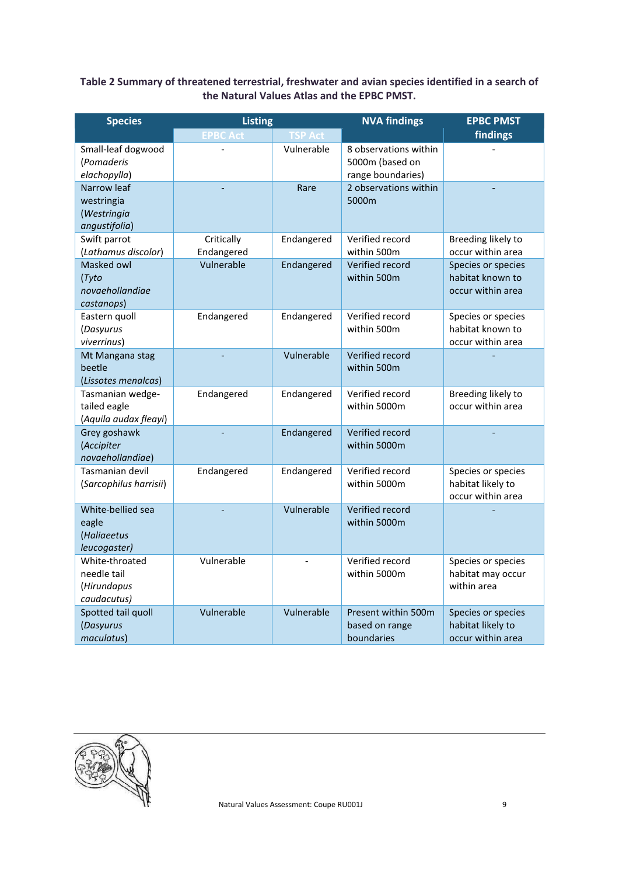### **Table 2 Summary of threatened terrestrial, freshwater and avian species identified in a search of the Natural Values Atlas and the EPBC PMST.**

| <b>Species</b>                                              | <b>Listing</b>           |                | <b>NVA findings</b>                                           | <b>EPBC PMST</b>                                             |
|-------------------------------------------------------------|--------------------------|----------------|---------------------------------------------------------------|--------------------------------------------------------------|
|                                                             | <b>EPBC Act</b>          | <b>TSP Act</b> |                                                               | findings                                                     |
| Small-leaf dogwood<br>(Pomaderis<br>elachopylla)            |                          | Vulnerable     | 8 observations within<br>5000m (based on<br>range boundaries) |                                                              |
| Narrow leaf<br>westringia<br>(Westringia<br>angustifolia)   |                          | Rare           | 2 observations within<br>5000m                                |                                                              |
| Swift parrot<br>(Lathamus discolor)                         | Critically<br>Endangered | Endangered     | Verified record<br>within 500m                                | Breeding likely to<br>occur within area                      |
| Masked owl<br>(Tyto<br>novaehollandiae<br>castanops)        | Vulnerable               | Endangered     | Verified record<br>within 500m                                | Species or species<br>habitat known to<br>occur within area  |
| Eastern quoll<br>(Dasyurus<br>viverrinus)                   | Endangered               | Endangered     | Verified record<br>within 500m                                | Species or species<br>habitat known to<br>occur within area  |
| Mt Mangana stag<br>beetle<br>(Lissotes menalcas)            |                          | Vulnerable     | Verified record<br>within 500m                                |                                                              |
| Tasmanian wedge-<br>tailed eagle<br>(Aquila audax fleayi)   | Endangered               | Endangered     | Verified record<br>within 5000m                               | Breeding likely to<br>occur within area                      |
| Grey goshawk<br>(Accipiter<br>novaehollandiae)              |                          | Endangered     | Verified record<br>within 5000m                               |                                                              |
| Tasmanian devil<br>(Sarcophilus harrisii)                   | Endangered               | Endangered     | Verified record<br>within 5000m                               | Species or species<br>habitat likely to<br>occur within area |
| White-bellied sea<br>eagle<br>(Haliaeetus<br>leucogaster)   |                          | Vulnerable     | Verified record<br>within 5000m                               |                                                              |
| White-throated<br>needle tail<br>(Hirundapus<br>caudacutus) | Vulnerable               |                | Verified record<br>within 5000m                               | Species or species<br>habitat may occur<br>within area       |
| Spotted tail quoll<br>(Dasyurus<br>maculatus)               | Vulnerable               | Vulnerable     | Present within 500m<br>based on range<br>boundaries           | Species or species<br>habitat likely to<br>occur within area |

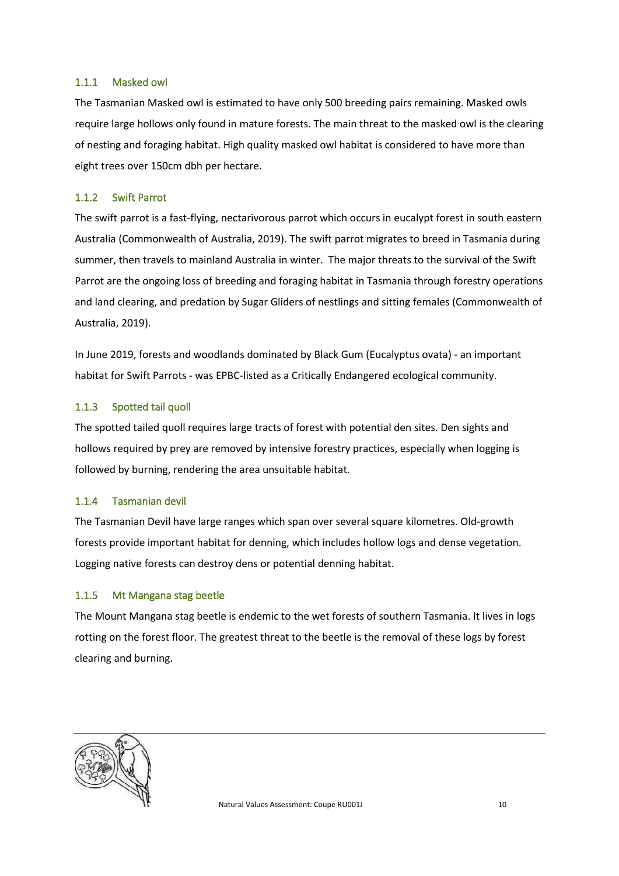#### <span id="page-9-0"></span>1.1.1 Masked owl

The Tasmanian Masked owl is estimated to have only 500 breeding pairs remaining. Masked owls require large hollows only found in mature forests. The main threat to the masked owl is the clearing of nesting and foraging habitat. High quality masked owl habitat is considered to have more than eight trees over 150cm dbh per hectare.

#### <span id="page-9-1"></span>1.1.2 Swift Parrot

The swift parrot is a fast-flying, nectarivorous parrot which occurs in eucalypt forest in south eastern Australia (Commonwealth of Australia, 2019). The swift parrot migrates to breed in Tasmania during summer, then travels to mainland Australia in winter. The major threats to the survival of the Swift Parrot are the ongoing loss of breeding and foraging habitat in Tasmania through forestry operations and land clearing, and predation by Sugar Gliders of nestlings and sitting females (Commonwealth of Australia, 2019).

In June 2019, forests and woodlands dominated by Black Gum (Eucalyptus ovata) - an important habitat for Swift Parrots - was EPBC-listed as a Critically Endangered ecological community.

#### <span id="page-9-2"></span>1.1.3 Spotted tail quoll

The spotted tailed quoll requires large tracts of forest with potential den sites. Den sights and hollows required by prey are removed by intensive forestry practices, especially when logging is followed by burning, rendering the area unsuitable habitat.

#### <span id="page-9-3"></span>1.1.4 Tasmanian devil

The Tasmanian Devil have large ranges which span over several square kilometres. Old-growth forests provide important habitat for denning, which includes hollow logs and dense vegetation. Logging native forests can destroy dens or potential denning habitat.

#### <span id="page-9-4"></span>1.1.5 Mt Mangana stag beetle

The Mount Mangana stag beetle is endemic to the wet forests of southern Tasmania. It lives in logs rotting on the forest floor. The greatest threat to the beetle is the removal of these logs by forest clearing and burning.

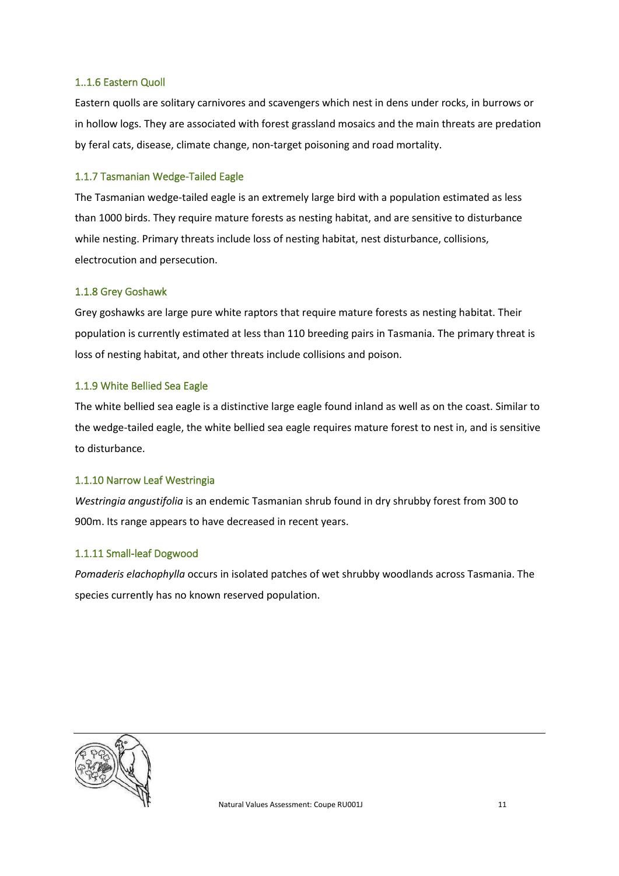#### <span id="page-10-0"></span>1..1.6 Eastern Quoll

Eastern quolls are solitary carnivores and scavengers which nest in dens under rocks, in burrows or in hollow logs. They are associated with forest grassland mosaics and the main threats are predation by feral cats, disease, climate change, non-target poisoning and road mortality.

#### <span id="page-10-1"></span>1.1.7 Tasmanian Wedge-Tailed Eagle

The Tasmanian wedge-tailed eagle is an extremely large bird with a population estimated as less than 1000 birds. They require mature forests as nesting habitat, and are sensitive to disturbance while nesting. Primary threats include loss of nesting habitat, nest disturbance, collisions, electrocution and persecution.

#### <span id="page-10-2"></span>1.1.8 Grey Goshawk

Grey goshawks are large pure white raptors that require mature forests as nesting habitat. Their population is currently estimated at less than 110 breeding pairs in Tasmania. The primary threat is loss of nesting habitat, and other threats include collisions and poison.

#### <span id="page-10-3"></span>1.1.9 White Bellied Sea Eagle

The white bellied sea eagle is a distinctive large eagle found inland as well as on the coast. Similar to the wedge-tailed eagle, the white bellied sea eagle requires mature forest to nest in, and is sensitive to disturbance.

#### <span id="page-10-4"></span>1.1.10 Narrow Leaf Westringia

*Westringia angustifolia* is an endemic Tasmanian shrub found in dry shrubby forest from 300 to 900m. Its range appears to have decreased in recent years.

#### <span id="page-10-5"></span>1.1.11 Small-leaf Dogwood

*Pomaderis elachophylla* occurs in isolated patches of wet shrubby woodlands across Tasmania. The species currently has no known reserved population.

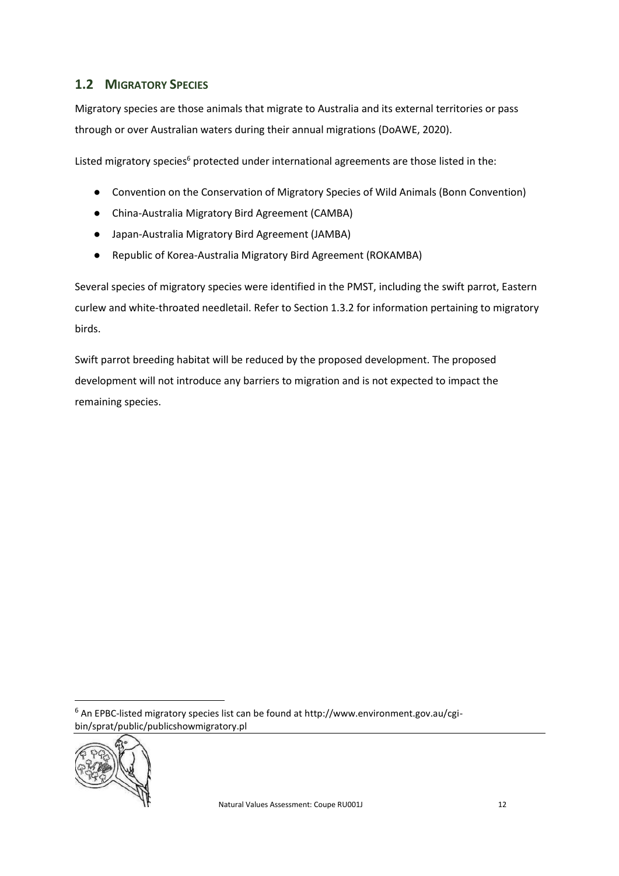## <span id="page-11-0"></span>**1.2 MIGRATORY SPECIES**

Migratory species are those animals that migrate to Australia and its external territories or pass through or over Australian waters during their annual migrations (DoAWE, 2020).

Listed migratory species<sup>6</sup> protected under international agreements are those listed in the:

- Convention on the Conservation of Migratory Species of Wild Animals (Bonn Convention)
- China-Australia Migratory Bird Agreement (CAMBA)
- Japan-Australia Migratory Bird Agreement (JAMBA)
- Republic of Korea-Australia Migratory Bird Agreement (ROKAMBA)

Several species of migratory species were identified in the PMST, including the swift parrot, Eastern curlew and white-throated needletail. Refer to Section 1.3.2 for information pertaining to migratory birds.

Swift parrot breeding habitat will be reduced by the proposed development. The proposed development will not introduce any barriers to migration and is not expected to impact the remaining species.

<sup>6</sup> An EPBC-listed migratory species list can be found at http://www.environment.gov.au/cgibin/sprat/public/publicshowmigratory.pl

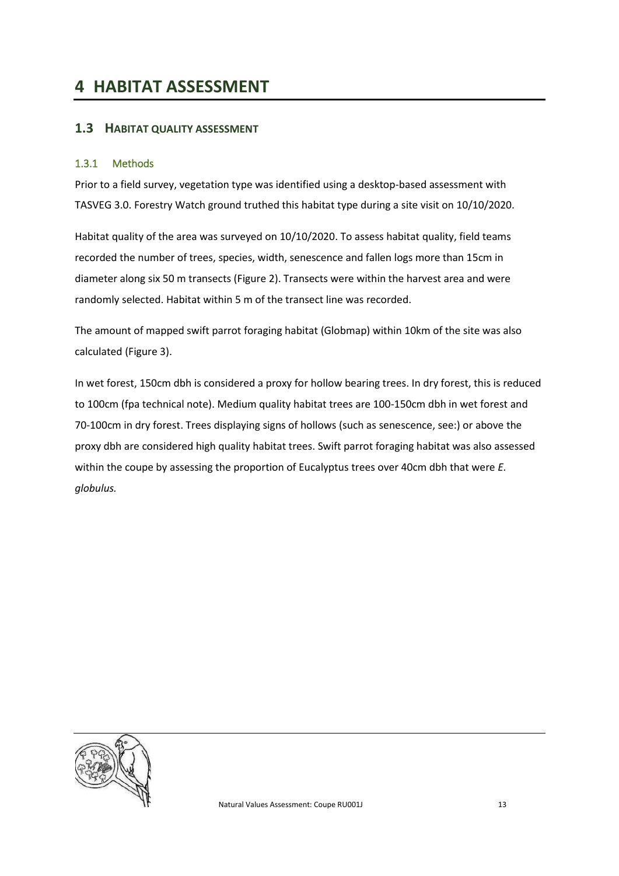# <span id="page-12-0"></span>**4 HABITAT ASSESSMENT**

### <span id="page-12-1"></span>**1.3 HABITAT QUALITY ASSESSMENT**

#### <span id="page-12-2"></span>1.3.1 Methods

Prior to a field survey, vegetation type was identified using a desktop-based assessment with TASVEG 3.0. Forestry Watch ground truthed this habitat type during a site visit on 10/10/2020.

Habitat quality of the area was surveyed on 10/10/2020. To assess habitat quality, field teams recorded the number of trees, species, width, senescence and fallen logs more than 15cm in diameter along six 50 m transects [\(Figure 2\)](#page-13-0). Transects were within the harvest area and were randomly selected. Habitat within 5 m of the transect line was recorded.

The amount of mapped swift parrot foraging habitat (Globmap) within 10km of the site was also calculated [\(Figure 3\)](#page-14-1).

In wet forest, 150cm dbh is considered a proxy for hollow bearing trees. In dry forest, this is reduced to 100cm (fpa technical note). Medium quality habitat trees are 100-150cm dbh in wet forest and 70-100cm in dry forest. Trees displaying signs of hollows (such as senescence, see:) or above the proxy dbh are considered high quality habitat trees. Swift parrot foraging habitat was also assessed within the coupe by assessing the proportion of Eucalyptus trees over 40cm dbh that were *E. globulus.*

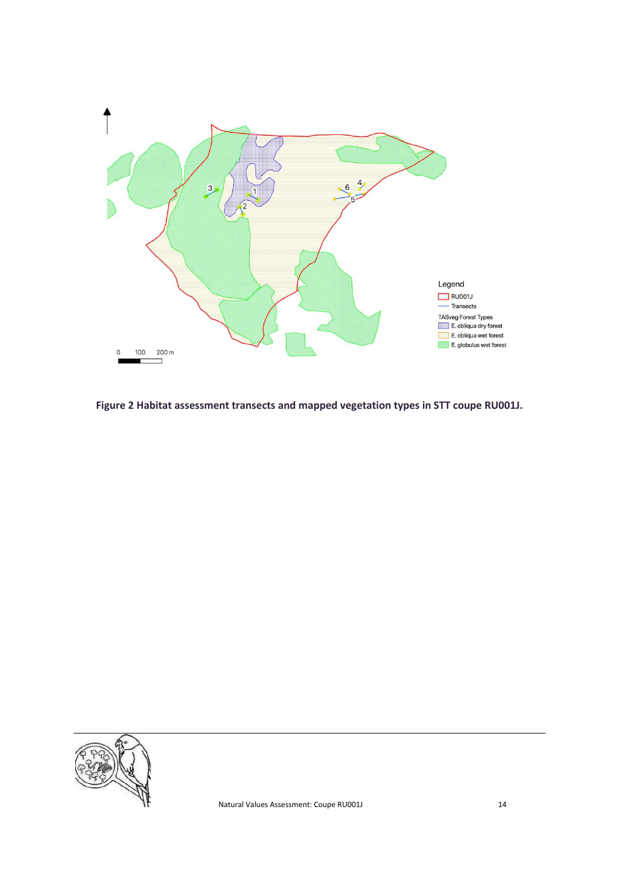

<span id="page-13-0"></span>**Figure 2 Habitat assessment transects and mapped vegetation types in STT coupe RU001J.**

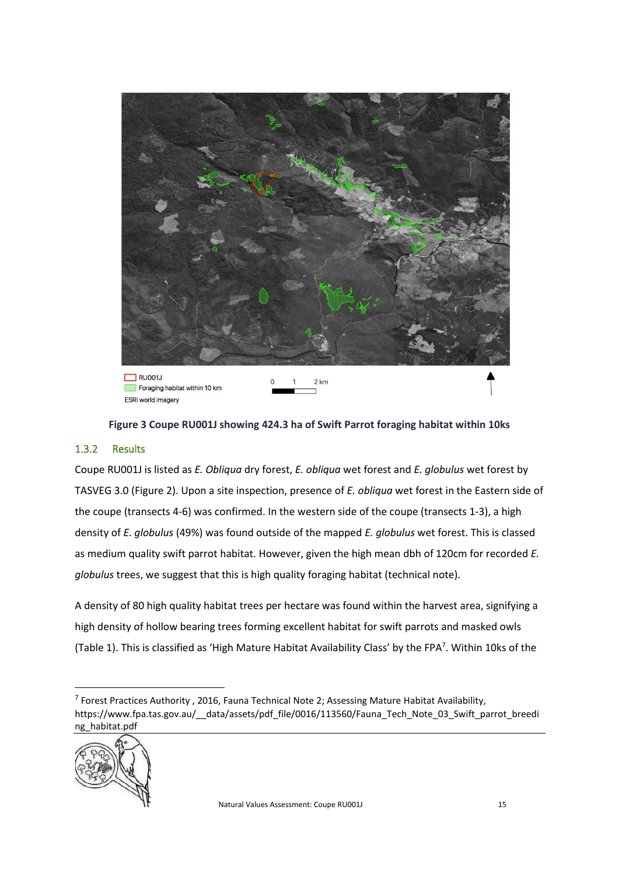

**Figure 3 Coupe RU001J showing 424.3 ha of Swift Parrot foraging habitat within 10ks**

### <span id="page-14-1"></span><span id="page-14-0"></span>1.3.2 Results

Coupe RU001J is listed as *E. Obliqua* dry forest, *E. obliqua* wet forest and *E. globulus* wet forest by TASVEG 3.0 [\(Figure 2\)](#page-13-0). Upon a site inspection, presence of *E. obliqua* wet forest in the Eastern side of the coupe (transects 4-6) was confirmed. In the western side of the coupe (transects 1-3), a high density of *E. globulus* (49%) was found outside of the mapped *E. globulus* wet forest. This is classed as medium quality swift parrot habitat. However, given the high mean dbh of 120cm for recorded *E. globulus* trees, we suggest that this is high quality foraging habitat (technical note).

A density of 80 high quality habitat trees per hectare was found within the harvest area, signifying a high density of hollow bearing trees forming excellent habitat for swift parrots and masked owls [\(Table 1\)](#page-15-1). This is classified as 'High Mature Habitat Availability Class' by the FPA<sup>7</sup>. Within 10ks of the

<sup>&</sup>lt;sup>7</sup> Forest Practices Authority, 2016, Fauna Technical Note 2; Assessing Mature Habitat Availability, https://www.fpa.tas.gov.au/ data/assets/pdf file/0016/113560/Fauna\_Tech\_Note\_03\_Swift\_parrot\_breedi ng\_habitat.pdf

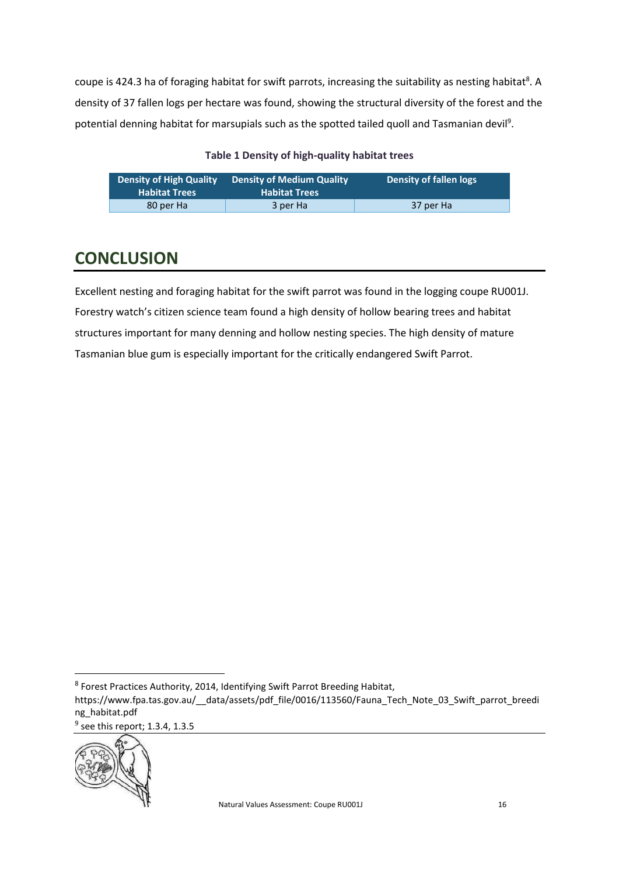coupe is 424.3 ha of foraging habitat for swift parrots, increasing the suitability as nesting habitat<sup>8</sup>. A density of 37 fallen logs per hectare was found, showing the structural diversity of the forest and the potential denning habitat for marsupials such as the spotted tailed quoll and Tasmanian devil<sup>9</sup>.

#### **Table 1 Density of high-quality habitat trees**

<span id="page-15-1"></span>

| <b>Density of High Quality</b><br><b>Habitat Trees</b> | <b>Density of Medium Quality</b><br><b>Habitat Trees</b> | Density of fallen logs |
|--------------------------------------------------------|----------------------------------------------------------|------------------------|
| 80 per Ha                                              | 3 per Ha                                                 | 37 per Ha              |

# <span id="page-15-0"></span>**CONCLUSION**

Excellent nesting and foraging habitat for the swift parrot was found in the logging coupe RU001J. Forestry watch's citizen science team found a high density of hollow bearing trees and habitat structures important for many denning and hollow nesting species. The high density of mature Tasmanian blue gum is especially important for the critically endangered Swift Parrot.

 $<sup>9</sup>$  see this report; 1.3.4, 1.3.5</sup>



<sup>&</sup>lt;sup>8</sup> Forest Practices Authority, 2014, Identifying Swift Parrot Breeding Habitat,

https://www.fpa.tas.gov.au/\_\_data/assets/pdf\_file/0016/113560/Fauna\_Tech\_Note\_03\_Swift\_parrot\_breedi ng\_habitat.pdf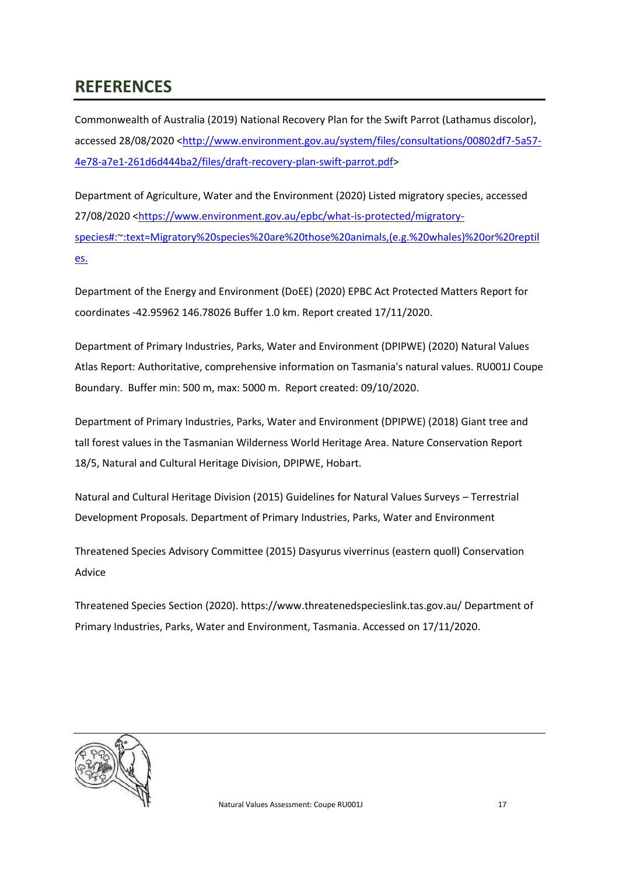# <span id="page-16-0"></span>**REFERENCES**

Commonwealth of Australia (2019) National Recovery Plan for the Swift Parrot (Lathamus discolor), accessed 28/08/2020 [<http://www.environment.gov.au/system/files/consultations/00802df7-5a57-](http://www.environment.gov.au/system/files/consultations/00802df7-5a57-4e78-a7e1-261d6d444ba2/files/draft-recovery-plan-swift-parrot.pdf) [4e78-a7e1-261d6d444ba2/files/draft-recovery-plan-swift-parrot.pdf>](http://www.environment.gov.au/system/files/consultations/00802df7-5a57-4e78-a7e1-261d6d444ba2/files/draft-recovery-plan-swift-parrot.pdf)

Department of Agriculture, Water and the Environment (2020) Listed migratory species, accessed 27/08/2020 [<https://www.environment.gov.au/epbc/what-is-protected/migratory](https://www.environment.gov.au/epbc/what-is-protected/migratory-species#:~:text=Migratory%20species%20are%20those%20animals,(e.g.%20whales)%20or%20reptiles.)[species#:~:text=Migratory%20species%20are%20those%20animals,\(e.g.%20whales\)%20or%20reptil](https://www.environment.gov.au/epbc/what-is-protected/migratory-species#:~:text=Migratory%20species%20are%20those%20animals,(e.g.%20whales)%20or%20reptiles.) [es.](https://www.environment.gov.au/epbc/what-is-protected/migratory-species#:~:text=Migratory%20species%20are%20those%20animals,(e.g.%20whales)%20or%20reptiles.)

Department of the Energy and Environment (DoEE) (2020) EPBC Act Protected Matters Report for coordinates -42.95962 146.78026 Buffer 1.0 km. Report created 17/11/2020.

Department of Primary Industries, Parks, Water and Environment (DPIPWE) (2020) Natural Values Atlas Report: Authoritative, comprehensive information on Tasmania's natural values. RU001J Coupe Boundary. Buffer min: 500 m, max: 5000 m. Report created: 09/10/2020.

Department of Primary Industries, Parks, Water and Environment (DPIPWE) (2018) Giant tree and tall forest values in the Tasmanian Wilderness World Heritage Area. Nature Conservation Report 18/5, Natural and Cultural Heritage Division, DPIPWE, Hobart.

Natural and Cultural Heritage Division (2015) Guidelines for Natural Values Surveys – Terrestrial Development Proposals. Department of Primary Industries, Parks, Water and Environment

Threatened Species Advisory Committee (2015) Dasyurus viverrinus (eastern quoll) Conservation Advice

Threatened Species Section (2020). https://www.threatenedspecieslink.tas.gov.au/ Department of Primary Industries, Parks, Water and Environment, Tasmania. Accessed on 17/11/2020.